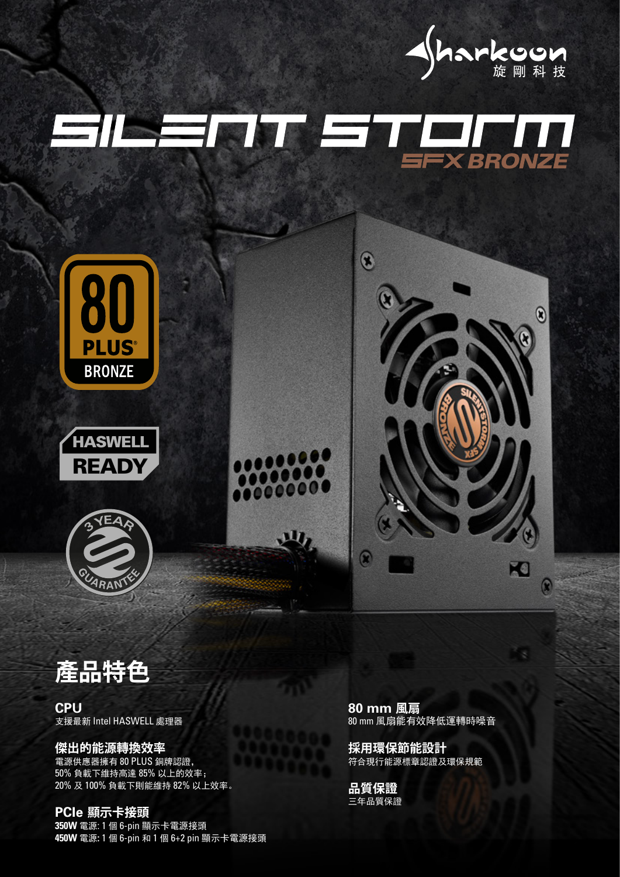

## EILENT ETELN













**CPU** 支援最新 Intel HASWELL 處理器

**傑出的能源轉換效率** 電源供應器擁有 80 PLUS 銅牌認證, 50% 負載下維持高達 85% 以上的效率; 20% 及 100% 負載下則能維持 82% 以上效率。

**PCIe 顯示卡接頭 350W** 電源: 1 個 6-pin 顯示卡電源接頭 **450W** 電源**:** 1 個 6-pin 和 1 個 6+2 pin 顯示卡電源接頭 **80 mm 風扇** 80 mm 風扇能有效降低運轉時噪音

**採用環保節能設計** 符合現行能源標章認證及環保規範

**品質保證** 三年品質保證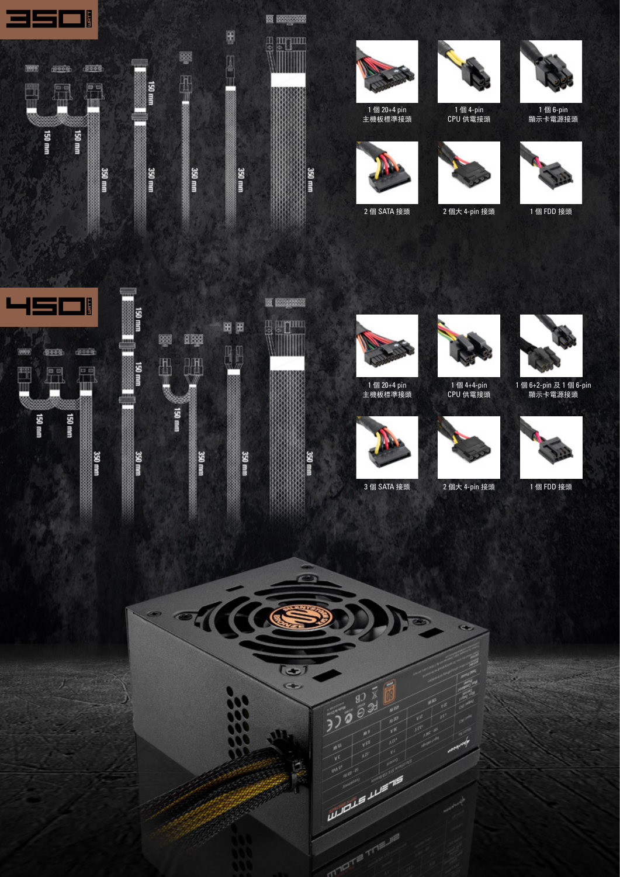